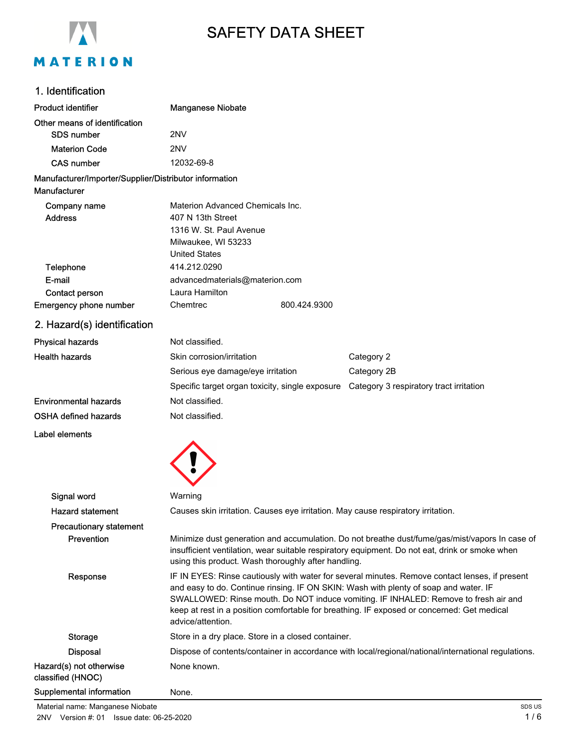

# SAFETY DATA SHEET

## 1. Identification

| <b>Product identifier</b>                                              | <b>Manganese Niobate</b>                                                                                                                                                                                                                                                                                                                                                                         |              |                                                                                          |
|------------------------------------------------------------------------|--------------------------------------------------------------------------------------------------------------------------------------------------------------------------------------------------------------------------------------------------------------------------------------------------------------------------------------------------------------------------------------------------|--------------|------------------------------------------------------------------------------------------|
| Other means of identification                                          |                                                                                                                                                                                                                                                                                                                                                                                                  |              |                                                                                          |
| <b>SDS number</b>                                                      | 2NV                                                                                                                                                                                                                                                                                                                                                                                              |              |                                                                                          |
| <b>Materion Code</b>                                                   | 2NV                                                                                                                                                                                                                                                                                                                                                                                              |              |                                                                                          |
| <b>CAS number</b>                                                      | 12032-69-8                                                                                                                                                                                                                                                                                                                                                                                       |              |                                                                                          |
| Manufacturer/Importer/Supplier/Distributor information<br>Manufacturer |                                                                                                                                                                                                                                                                                                                                                                                                  |              |                                                                                          |
| Company name<br><b>Address</b>                                         | Materion Advanced Chemicals Inc.<br>407 N 13th Street<br>1316 W. St. Paul Avenue<br>Milwaukee, WI 53233<br><b>United States</b>                                                                                                                                                                                                                                                                  |              |                                                                                          |
| Telephone                                                              | 414.212.0290                                                                                                                                                                                                                                                                                                                                                                                     |              |                                                                                          |
| E-mail                                                                 | advancedmaterials@materion.com                                                                                                                                                                                                                                                                                                                                                                   |              |                                                                                          |
| Contact person                                                         | Laura Hamilton                                                                                                                                                                                                                                                                                                                                                                                   |              |                                                                                          |
| Emergency phone number                                                 | Chemtrec                                                                                                                                                                                                                                                                                                                                                                                         | 800.424.9300 |                                                                                          |
| 2. Hazard(s) identification                                            |                                                                                                                                                                                                                                                                                                                                                                                                  |              |                                                                                          |
| <b>Physical hazards</b>                                                | Not classified.                                                                                                                                                                                                                                                                                                                                                                                  |              |                                                                                          |
| <b>Health hazards</b>                                                  | Skin corrosion/irritation                                                                                                                                                                                                                                                                                                                                                                        |              | Category 2                                                                               |
|                                                                        | Serious eye damage/eye irritation                                                                                                                                                                                                                                                                                                                                                                |              | Category 2B                                                                              |
|                                                                        |                                                                                                                                                                                                                                                                                                                                                                                                  |              | Specific target organ toxicity, single exposure  Category 3 respiratory tract irritation |
| <b>Environmental hazards</b>                                           | Not classified.                                                                                                                                                                                                                                                                                                                                                                                  |              |                                                                                          |
| OSHA defined hazards                                                   | Not classified.                                                                                                                                                                                                                                                                                                                                                                                  |              |                                                                                          |
| Label elements                                                         |                                                                                                                                                                                                                                                                                                                                                                                                  |              |                                                                                          |
|                                                                        |                                                                                                                                                                                                                                                                                                                                                                                                  |              |                                                                                          |
| Signal word                                                            | Warning                                                                                                                                                                                                                                                                                                                                                                                          |              |                                                                                          |
| <b>Hazard statement</b>                                                |                                                                                                                                                                                                                                                                                                                                                                                                  |              | Causes skin irritation. Causes eye irritation. May cause respiratory irritation.         |
| <b>Precautionary statement</b>                                         |                                                                                                                                                                                                                                                                                                                                                                                                  |              |                                                                                          |
| Prevention                                                             | Minimize dust generation and accumulation. Do not breathe dust/fume/gas/mist/vapors In case of<br>insufficient ventilation, wear suitable respiratory equipment. Do not eat, drink or smoke when<br>using this product. Wash thoroughly after handling.                                                                                                                                          |              |                                                                                          |
| Response                                                               | IF IN EYES: Rinse cautiously with water for several minutes. Remove contact lenses, if present<br>and easy to do. Continue rinsing. IF ON SKIN: Wash with plenty of soap and water. IF<br>SWALLOWED: Rinse mouth. Do NOT induce vomiting. IF INHALED: Remove to fresh air and<br>keep at rest in a position comfortable for breathing. IF exposed or concerned: Get medical<br>advice/attention. |              |                                                                                          |
| <b>Storage</b>                                                         | Store in a dry place. Store in a closed container.                                                                                                                                                                                                                                                                                                                                               |              |                                                                                          |
| <b>Disposal</b>                                                        | Dispose of contents/container in accordance with local/regional/national/international regulations.                                                                                                                                                                                                                                                                                              |              |                                                                                          |
| Hazard(s) not otherwise<br>classified (HNOC)                           | None known.                                                                                                                                                                                                                                                                                                                                                                                      |              |                                                                                          |
| Supplemental information                                               | None.                                                                                                                                                                                                                                                                                                                                                                                            |              |                                                                                          |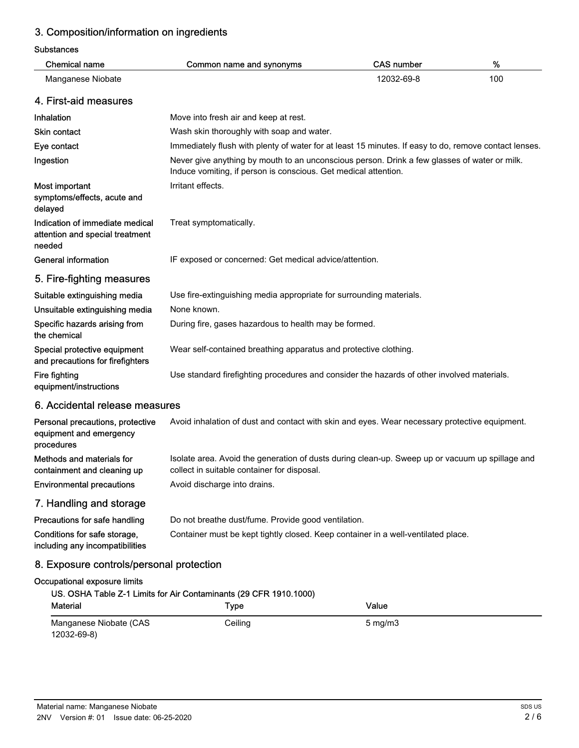## 3. Composition/information on ingredients

Substances

| <b>Chemical name</b>                                                         | Common name and synonyms                                                                                                                                        | <b>CAS number</b> | $\%$ |  |
|------------------------------------------------------------------------------|-----------------------------------------------------------------------------------------------------------------------------------------------------------------|-------------------|------|--|
| Manganese Niobate                                                            |                                                                                                                                                                 | 12032-69-8        | 100  |  |
| 4. First-aid measures                                                        |                                                                                                                                                                 |                   |      |  |
| Inhalation                                                                   | Move into fresh air and keep at rest.                                                                                                                           |                   |      |  |
| <b>Skin contact</b>                                                          | Wash skin thoroughly with soap and water.                                                                                                                       |                   |      |  |
| Eye contact                                                                  | Immediately flush with plenty of water for at least 15 minutes. If easy to do, remove contact lenses.                                                           |                   |      |  |
| Ingestion                                                                    | Never give anything by mouth to an unconscious person. Drink a few glasses of water or milk.<br>Induce vomiting, if person is conscious. Get medical attention. |                   |      |  |
| Most important<br>symptoms/effects, acute and<br>delayed                     | Irritant effects.                                                                                                                                               |                   |      |  |
| Indication of immediate medical<br>attention and special treatment<br>needed | Treat symptomatically.                                                                                                                                          |                   |      |  |
| <b>General information</b>                                                   | IF exposed or concerned: Get medical advice/attention.                                                                                                          |                   |      |  |
| 5. Fire-fighting measures                                                    |                                                                                                                                                                 |                   |      |  |
| Suitable extinguishing media                                                 | Use fire-extinguishing media appropriate for surrounding materials.                                                                                             |                   |      |  |
| Unsuitable extinguishing media                                               | None known.                                                                                                                                                     |                   |      |  |
| Specific hazards arising from<br>the chemical                                | During fire, gases hazardous to health may be formed.                                                                                                           |                   |      |  |
| Special protective equipment<br>and precautions for firefighters             | Wear self-contained breathing apparatus and protective clothing.                                                                                                |                   |      |  |
| Fire fighting<br>equipment/instructions                                      | Use standard firefighting procedures and consider the hazards of other involved materials.                                                                      |                   |      |  |
| 6. Accidental release measures                                               |                                                                                                                                                                 |                   |      |  |
| Personal precautions, protective<br>equipment and emergency<br>procedures    | Avoid inhalation of dust and contact with skin and eyes. Wear necessary protective equipment.                                                                   |                   |      |  |
| Methods and materials for<br>containment and cleaning up                     | Isolate area. Avoid the generation of dusts during clean-up. Sweep up or vacuum up spillage and<br>collect in suitable container for disposal.                  |                   |      |  |
| <b>Environmental precautions</b>                                             | Avoid discharge into drains.                                                                                                                                    |                   |      |  |
| 7. Handling and storage                                                      |                                                                                                                                                                 |                   |      |  |
| Precautions for safe handling                                                | Do not breathe dust/fume. Provide good ventilation.                                                                                                             |                   |      |  |
| Conditions for safe storage,<br>including any incompatibilities              | Container must be kept tightly closed. Keep container in a well-ventilated place.                                                                               |                   |      |  |
| 8. Exposure controls/personal protection                                     |                                                                                                                                                                 |                   |      |  |
| Occupational exposure limits                                                 | US. OSHA Table Z-1 Limits for Air Contaminants (29 CFR 1910.1000)                                                                                               |                   |      |  |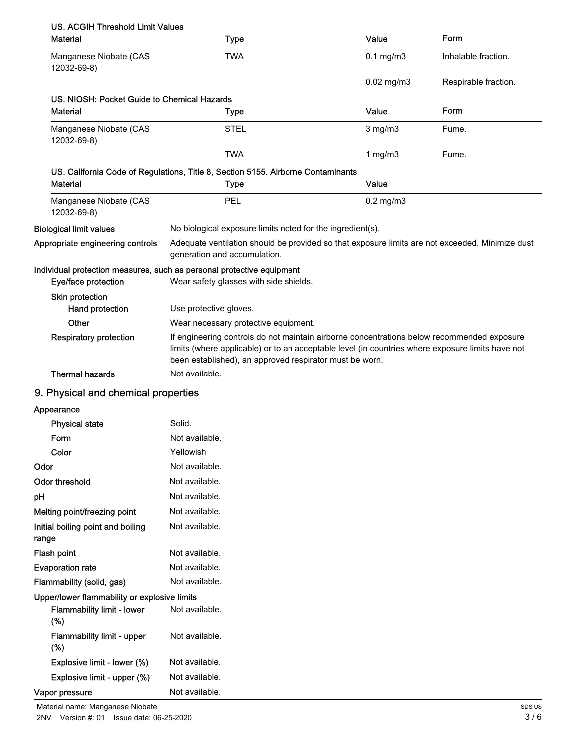| <b>US. ACGIH Threshold Limit Values</b>     |                                                                                                                                                                                                                                                           |                 |                      |
|---------------------------------------------|-----------------------------------------------------------------------------------------------------------------------------------------------------------------------------------------------------------------------------------------------------------|-----------------|----------------------|
| <b>Material</b>                             | <b>Type</b>                                                                                                                                                                                                                                               | Value           | Form                 |
| Manganese Niobate (CAS<br>12032-69-8)       | <b>TWA</b>                                                                                                                                                                                                                                                | $0.1$ mg/m $3$  | Inhalable fraction.  |
|                                             |                                                                                                                                                                                                                                                           | $0.02$ mg/m $3$ | Respirable fraction. |
| US. NIOSH: Pocket Guide to Chemical Hazards |                                                                                                                                                                                                                                                           |                 |                      |
| <b>Material</b>                             | <b>Type</b>                                                                                                                                                                                                                                               | Value           | Form                 |
| Manganese Niobate (CAS<br>12032-69-8)       | <b>STEL</b>                                                                                                                                                                                                                                               | $3$ mg/m $3$    | Fume.                |
|                                             | <b>TWA</b>                                                                                                                                                                                                                                                | 1 mg/m $3$      | Fume.                |
|                                             | US. California Code of Regulations, Title 8, Section 5155. Airborne Contaminants                                                                                                                                                                          |                 |                      |
| <b>Material</b>                             | <b>Type</b>                                                                                                                                                                                                                                               | Value           |                      |
| Manganese Niobate (CAS<br>12032-69-8)       | PEL                                                                                                                                                                                                                                                       | $0.2$ mg/m $3$  |                      |
| <b>Biological limit values</b>              | No biological exposure limits noted for the ingredient(s).                                                                                                                                                                                                |                 |                      |
| Appropriate engineering controls            | Adequate ventilation should be provided so that exposure limits are not exceeded. Minimize dust<br>generation and accumulation.                                                                                                                           |                 |                      |
| Eye/face protection                         | Individual protection measures, such as personal protective equipment<br>Wear safety glasses with side shields.                                                                                                                                           |                 |                      |
| Skin protection                             |                                                                                                                                                                                                                                                           |                 |                      |
| Hand protection                             | Use protective gloves.                                                                                                                                                                                                                                    |                 |                      |
| Other                                       | Wear necessary protective equipment.                                                                                                                                                                                                                      |                 |                      |
| <b>Respiratory protection</b>               | If engineering controls do not maintain airborne concentrations below recommended exposure<br>limits (where applicable) or to an acceptable level (in countries where exposure limits have not<br>been established), an approved respirator must be worn. |                 |                      |
| <b>Thermal hazards</b>                      | Not available.                                                                                                                                                                                                                                            |                 |                      |
| 9. Physical and chemical properties         |                                                                                                                                                                                                                                                           |                 |                      |
| Annonmona                                   |                                                                                                                                                                                                                                                           |                 |                      |

### 9. Physical and chemical properties

Appearance

| <b>Physical state</b>                        | Solid.         |
|----------------------------------------------|----------------|
| Form                                         | Not available. |
| Color                                        | Yellowish      |
| Odor                                         | Not available. |
| Odor threshold                               | Not available. |
| рH                                           | Not available. |
| Melting point/freezing point                 | Not available. |
| Initial boiling point and boiling<br>range   | Not available. |
| Flash point                                  | Not available. |
| <b>Evaporation rate</b>                      | Not available. |
| Flammability (solid, gas)                    | Not available. |
| Upper/lower flammability or explosive limits |                |
| <b>Flammability limit - lower</b><br>(%)     | Not available. |
| <b>Flammability limit - upper</b><br>(%)     | Not available. |
| Explosive limit - lower (%)                  | Not available. |
| Explosive limit - upper (%)                  | Not available. |
| Vapor pressure                               | Not available. |

Material name: Manganese Niobate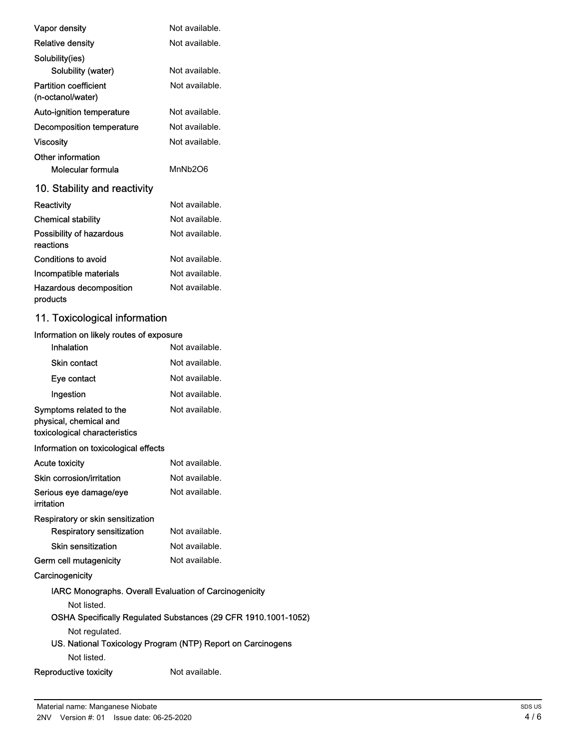| Vapor density                                     | Not available. |
|---------------------------------------------------|----------------|
| <b>Relative density</b>                           | Not available. |
| Solubility(ies)                                   |                |
| Solubility (water)                                | Not available. |
| <b>Partition coefficient</b><br>(n-octanol/water) | Not available. |
| Auto-ignition temperature                         | Not available. |
| Decomposition temperature                         | Not available. |
| Viscosity                                         | Not available. |
| Other information                                 |                |
| Molecular formula                                 | MnNh2O6        |
| 10. Stability and reactivity                      |                |
| Reactivity                                        | Not available. |
| <b>Chemical stability</b>                         | Not available. |
| Possibility of hazardous<br>reactions             | Not available. |
| Conditions to avoid                               | Not available. |
| Incompatible materials                            | Not available. |
| Hazardous decomposition<br>products               | Not available. |

## 11. Toxicological information

| Information on likely routes of exposure                                           |                                                                |
|------------------------------------------------------------------------------------|----------------------------------------------------------------|
| Inhalation                                                                         | Not available.                                                 |
| <b>Skin contact</b>                                                                | Not available.                                                 |
| Eye contact                                                                        | Not available.                                                 |
| Ingestion                                                                          | Not available.                                                 |
| Symptoms related to the<br>physical, chemical and<br>toxicological characteristics | Not available.                                                 |
| Information on toxicological effects                                               |                                                                |
| <b>Acute toxicity</b>                                                              | Not available.                                                 |
| Skin corrosion/irritation                                                          | Not available.                                                 |
| Serious eye damage/eye<br>irritation                                               | Not available.                                                 |
| Respiratory or skin sensitization                                                  |                                                                |
| Respiratory sensitization                                                          | Not available.                                                 |
| Skin sensitization                                                                 | Not available.                                                 |
| Germ cell mutagenicity                                                             | Not available.                                                 |
| Carcinogenicity                                                                    |                                                                |
| IARC Monographs. Overall Evaluation of Carcinogenicity                             |                                                                |
| Not listed.                                                                        |                                                                |
|                                                                                    | OSHA Specifically Regulated Substances (29 CFR 1910.1001-1052) |
| Not regulated.                                                                     |                                                                |
|                                                                                    | US. National Toxicology Program (NTP) Report on Carcinogens    |
| Not listed.                                                                        |                                                                |
| Reproductive toxicity                                                              | Not available.                                                 |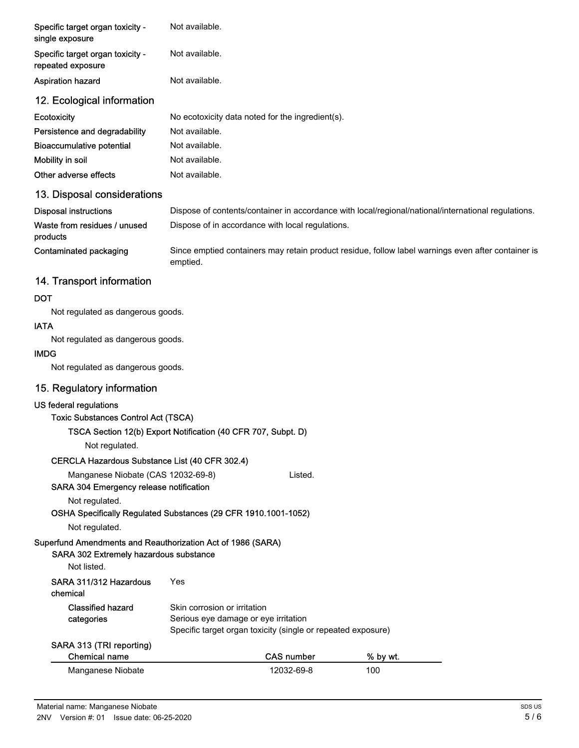| Specific target organ toxicity -<br>Not available.<br>single exposure<br>Not available.<br>Specific target organ toxicity -<br>repeated exposure<br>Not available.<br>Aspiration hazard<br>12. Ecological information<br>Ecotoxicity<br>No ecotoxicity data noted for the ingredient(s).<br>Not available.<br>Persistence and degradability<br>Not available.<br><b>Bioaccumulative potential</b><br>Mobility in soil<br>Not available.<br>Other adverse effects<br>Not available.<br>13. Disposal considerations<br><b>Disposal instructions</b><br>Dispose of contents/container in accordance with local/regional/national/international regulations.<br>Waste from residues / unused<br>Dispose of in accordance with local regulations.<br>products<br>Since emptied containers may retain product residue, follow label warnings even after container is<br><b>Contaminated packaging</b><br>emptied.<br>14. Transport information<br><b>DOT</b><br>Not regulated as dangerous goods.<br><b>IATA</b><br>Not regulated as dangerous goods.<br><b>IMDG</b><br>Not regulated as dangerous goods.<br>15. Regulatory information<br>US federal regulations<br><b>Toxic Substances Control Act (TSCA)</b><br>TSCA Section 12(b) Export Notification (40 CFR 707, Subpt. D)<br>Not regulated.<br>CERCLA Hazardous Substance List (40 CFR 302.4)<br>Manganese Niobate (CAS 12032-69-8)<br>Listed.<br>SARA 304 Emergency release notification<br>Not regulated.<br>OSHA Specifically Regulated Substances (29 CFR 1910.1001-1052)<br>Not regulated.<br>Superfund Amendments and Reauthorization Act of 1986 (SARA)<br>SARA 302 Extremely hazardous substance<br>Not listed.<br>SARA 311/312 Hazardous<br>Yes<br>chemical |  |  |  |
|-----------------------------------------------------------------------------------------------------------------------------------------------------------------------------------------------------------------------------------------------------------------------------------------------------------------------------------------------------------------------------------------------------------------------------------------------------------------------------------------------------------------------------------------------------------------------------------------------------------------------------------------------------------------------------------------------------------------------------------------------------------------------------------------------------------------------------------------------------------------------------------------------------------------------------------------------------------------------------------------------------------------------------------------------------------------------------------------------------------------------------------------------------------------------------------------------------------------------------------------------------------------------------------------------------------------------------------------------------------------------------------------------------------------------------------------------------------------------------------------------------------------------------------------------------------------------------------------------------------------------------------------------------------------------------------------------------------------------|--|--|--|
|                                                                                                                                                                                                                                                                                                                                                                                                                                                                                                                                                                                                                                                                                                                                                                                                                                                                                                                                                                                                                                                                                                                                                                                                                                                                                                                                                                                                                                                                                                                                                                                                                                                                                                                       |  |  |  |
|                                                                                                                                                                                                                                                                                                                                                                                                                                                                                                                                                                                                                                                                                                                                                                                                                                                                                                                                                                                                                                                                                                                                                                                                                                                                                                                                                                                                                                                                                                                                                                                                                                                                                                                       |  |  |  |
|                                                                                                                                                                                                                                                                                                                                                                                                                                                                                                                                                                                                                                                                                                                                                                                                                                                                                                                                                                                                                                                                                                                                                                                                                                                                                                                                                                                                                                                                                                                                                                                                                                                                                                                       |  |  |  |
|                                                                                                                                                                                                                                                                                                                                                                                                                                                                                                                                                                                                                                                                                                                                                                                                                                                                                                                                                                                                                                                                                                                                                                                                                                                                                                                                                                                                                                                                                                                                                                                                                                                                                                                       |  |  |  |
|                                                                                                                                                                                                                                                                                                                                                                                                                                                                                                                                                                                                                                                                                                                                                                                                                                                                                                                                                                                                                                                                                                                                                                                                                                                                                                                                                                                                                                                                                                                                                                                                                                                                                                                       |  |  |  |
|                                                                                                                                                                                                                                                                                                                                                                                                                                                                                                                                                                                                                                                                                                                                                                                                                                                                                                                                                                                                                                                                                                                                                                                                                                                                                                                                                                                                                                                                                                                                                                                                                                                                                                                       |  |  |  |
|                                                                                                                                                                                                                                                                                                                                                                                                                                                                                                                                                                                                                                                                                                                                                                                                                                                                                                                                                                                                                                                                                                                                                                                                                                                                                                                                                                                                                                                                                                                                                                                                                                                                                                                       |  |  |  |
|                                                                                                                                                                                                                                                                                                                                                                                                                                                                                                                                                                                                                                                                                                                                                                                                                                                                                                                                                                                                                                                                                                                                                                                                                                                                                                                                                                                                                                                                                                                                                                                                                                                                                                                       |  |  |  |
|                                                                                                                                                                                                                                                                                                                                                                                                                                                                                                                                                                                                                                                                                                                                                                                                                                                                                                                                                                                                                                                                                                                                                                                                                                                                                                                                                                                                                                                                                                                                                                                                                                                                                                                       |  |  |  |
|                                                                                                                                                                                                                                                                                                                                                                                                                                                                                                                                                                                                                                                                                                                                                                                                                                                                                                                                                                                                                                                                                                                                                                                                                                                                                                                                                                                                                                                                                                                                                                                                                                                                                                                       |  |  |  |
|                                                                                                                                                                                                                                                                                                                                                                                                                                                                                                                                                                                                                                                                                                                                                                                                                                                                                                                                                                                                                                                                                                                                                                                                                                                                                                                                                                                                                                                                                                                                                                                                                                                                                                                       |  |  |  |
|                                                                                                                                                                                                                                                                                                                                                                                                                                                                                                                                                                                                                                                                                                                                                                                                                                                                                                                                                                                                                                                                                                                                                                                                                                                                                                                                                                                                                                                                                                                                                                                                                                                                                                                       |  |  |  |
|                                                                                                                                                                                                                                                                                                                                                                                                                                                                                                                                                                                                                                                                                                                                                                                                                                                                                                                                                                                                                                                                                                                                                                                                                                                                                                                                                                                                                                                                                                                                                                                                                                                                                                                       |  |  |  |
|                                                                                                                                                                                                                                                                                                                                                                                                                                                                                                                                                                                                                                                                                                                                                                                                                                                                                                                                                                                                                                                                                                                                                                                                                                                                                                                                                                                                                                                                                                                                                                                                                                                                                                                       |  |  |  |
|                                                                                                                                                                                                                                                                                                                                                                                                                                                                                                                                                                                                                                                                                                                                                                                                                                                                                                                                                                                                                                                                                                                                                                                                                                                                                                                                                                                                                                                                                                                                                                                                                                                                                                                       |  |  |  |
|                                                                                                                                                                                                                                                                                                                                                                                                                                                                                                                                                                                                                                                                                                                                                                                                                                                                                                                                                                                                                                                                                                                                                                                                                                                                                                                                                                                                                                                                                                                                                                                                                                                                                                                       |  |  |  |
|                                                                                                                                                                                                                                                                                                                                                                                                                                                                                                                                                                                                                                                                                                                                                                                                                                                                                                                                                                                                                                                                                                                                                                                                                                                                                                                                                                                                                                                                                                                                                                                                                                                                                                                       |  |  |  |
|                                                                                                                                                                                                                                                                                                                                                                                                                                                                                                                                                                                                                                                                                                                                                                                                                                                                                                                                                                                                                                                                                                                                                                                                                                                                                                                                                                                                                                                                                                                                                                                                                                                                                                                       |  |  |  |
|                                                                                                                                                                                                                                                                                                                                                                                                                                                                                                                                                                                                                                                                                                                                                                                                                                                                                                                                                                                                                                                                                                                                                                                                                                                                                                                                                                                                                                                                                                                                                                                                                                                                                                                       |  |  |  |
|                                                                                                                                                                                                                                                                                                                                                                                                                                                                                                                                                                                                                                                                                                                                                                                                                                                                                                                                                                                                                                                                                                                                                                                                                                                                                                                                                                                                                                                                                                                                                                                                                                                                                                                       |  |  |  |
|                                                                                                                                                                                                                                                                                                                                                                                                                                                                                                                                                                                                                                                                                                                                                                                                                                                                                                                                                                                                                                                                                                                                                                                                                                                                                                                                                                                                                                                                                                                                                                                                                                                                                                                       |  |  |  |
|                                                                                                                                                                                                                                                                                                                                                                                                                                                                                                                                                                                                                                                                                                                                                                                                                                                                                                                                                                                                                                                                                                                                                                                                                                                                                                                                                                                                                                                                                                                                                                                                                                                                                                                       |  |  |  |
|                                                                                                                                                                                                                                                                                                                                                                                                                                                                                                                                                                                                                                                                                                                                                                                                                                                                                                                                                                                                                                                                                                                                                                                                                                                                                                                                                                                                                                                                                                                                                                                                                                                                                                                       |  |  |  |
|                                                                                                                                                                                                                                                                                                                                                                                                                                                                                                                                                                                                                                                                                                                                                                                                                                                                                                                                                                                                                                                                                                                                                                                                                                                                                                                                                                                                                                                                                                                                                                                                                                                                                                                       |  |  |  |
|                                                                                                                                                                                                                                                                                                                                                                                                                                                                                                                                                                                                                                                                                                                                                                                                                                                                                                                                                                                                                                                                                                                                                                                                                                                                                                                                                                                                                                                                                                                                                                                                                                                                                                                       |  |  |  |
|                                                                                                                                                                                                                                                                                                                                                                                                                                                                                                                                                                                                                                                                                                                                                                                                                                                                                                                                                                                                                                                                                                                                                                                                                                                                                                                                                                                                                                                                                                                                                                                                                                                                                                                       |  |  |  |
|                                                                                                                                                                                                                                                                                                                                                                                                                                                                                                                                                                                                                                                                                                                                                                                                                                                                                                                                                                                                                                                                                                                                                                                                                                                                                                                                                                                                                                                                                                                                                                                                                                                                                                                       |  |  |  |
|                                                                                                                                                                                                                                                                                                                                                                                                                                                                                                                                                                                                                                                                                                                                                                                                                                                                                                                                                                                                                                                                                                                                                                                                                                                                                                                                                                                                                                                                                                                                                                                                                                                                                                                       |  |  |  |
|                                                                                                                                                                                                                                                                                                                                                                                                                                                                                                                                                                                                                                                                                                                                                                                                                                                                                                                                                                                                                                                                                                                                                                                                                                                                                                                                                                                                                                                                                                                                                                                                                                                                                                                       |  |  |  |
|                                                                                                                                                                                                                                                                                                                                                                                                                                                                                                                                                                                                                                                                                                                                                                                                                                                                                                                                                                                                                                                                                                                                                                                                                                                                                                                                                                                                                                                                                                                                                                                                                                                                                                                       |  |  |  |
|                                                                                                                                                                                                                                                                                                                                                                                                                                                                                                                                                                                                                                                                                                                                                                                                                                                                                                                                                                                                                                                                                                                                                                                                                                                                                                                                                                                                                                                                                                                                                                                                                                                                                                                       |  |  |  |
| <b>Classified hazard</b><br>Skin corrosion or irritation                                                                                                                                                                                                                                                                                                                                                                                                                                                                                                                                                                                                                                                                                                                                                                                                                                                                                                                                                                                                                                                                                                                                                                                                                                                                                                                                                                                                                                                                                                                                                                                                                                                              |  |  |  |
| categories<br>Serious eye damage or eye irritation<br>Specific target organ toxicity (single or repeated exposure)                                                                                                                                                                                                                                                                                                                                                                                                                                                                                                                                                                                                                                                                                                                                                                                                                                                                                                                                                                                                                                                                                                                                                                                                                                                                                                                                                                                                                                                                                                                                                                                                    |  |  |  |
| SARA 313 (TRI reporting)<br><b>Chemical name</b><br><b>CAS number</b><br>% by wt.                                                                                                                                                                                                                                                                                                                                                                                                                                                                                                                                                                                                                                                                                                                                                                                                                                                                                                                                                                                                                                                                                                                                                                                                                                                                                                                                                                                                                                                                                                                                                                                                                                     |  |  |  |

| Manganese Niobate | 12032-69-8 | 10C |
|-------------------|------------|-----|
|                   |            |     |